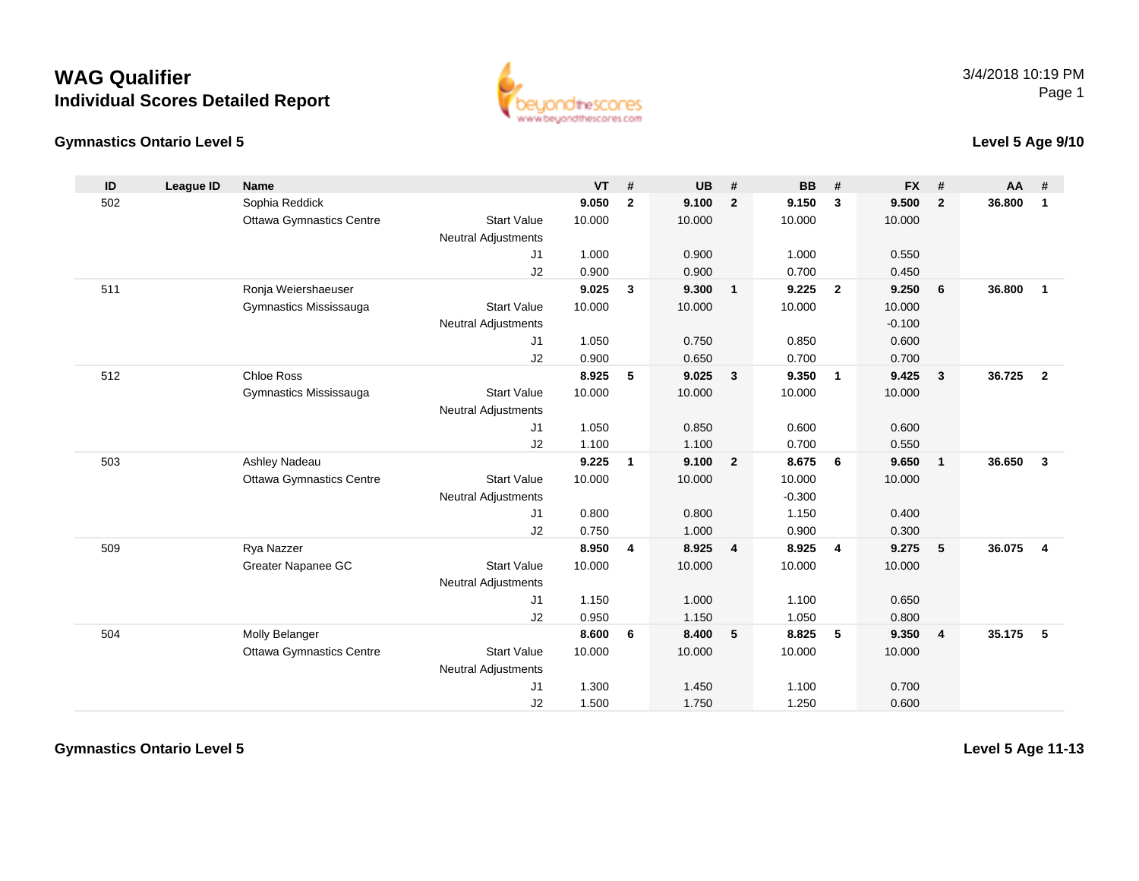## **WAG QualifierIndividual Scores Detailed Report**

#### **Gymnastics Ontario Level 5**



#### **Level 5 Age 9/10**

| ID  | League ID | <b>Name</b>                     |                            | <b>VT</b> | #              | <b>UB</b> | #              | <b>BB</b> | #              | <b>FX</b> | #                       | <b>AA</b> | #              |
|-----|-----------|---------------------------------|----------------------------|-----------|----------------|-----------|----------------|-----------|----------------|-----------|-------------------------|-----------|----------------|
| 502 |           | Sophia Reddick                  |                            | 9.050     | $\overline{2}$ | 9.100     | $\overline{2}$ | 9.150     | $\mathbf{3}$   | 9.500     | $\overline{2}$          | 36.800    | $\mathbf{1}$   |
|     |           | <b>Ottawa Gymnastics Centre</b> | <b>Start Value</b>         | 10.000    |                | 10.000    |                | 10.000    |                | 10.000    |                         |           |                |
|     |           |                                 | <b>Neutral Adjustments</b> |           |                |           |                |           |                |           |                         |           |                |
|     |           |                                 | J1                         | 1.000     |                | 0.900     |                | 1.000     |                | 0.550     |                         |           |                |
|     |           |                                 | J2                         | 0.900     |                | 0.900     |                | 0.700     |                | 0.450     |                         |           |                |
| 511 |           | Ronja Weiershaeuser             |                            | 9.025     | 3              | 9.300     | $\mathbf{1}$   | 9.225     | $\overline{2}$ | 9.250     | 6                       | 36.800    | $\mathbf{1}$   |
|     |           | Gymnastics Mississauga          | <b>Start Value</b>         | 10.000    |                | 10.000    |                | 10.000    |                | 10.000    |                         |           |                |
|     |           |                                 | <b>Neutral Adjustments</b> |           |                |           |                |           |                | $-0.100$  |                         |           |                |
|     |           |                                 | J1                         | 1.050     |                | 0.750     |                | 0.850     |                | 0.600     |                         |           |                |
|     |           |                                 | J2                         | 0.900     |                | 0.650     |                | 0.700     |                | 0.700     |                         |           |                |
| 512 |           | <b>Chloe Ross</b>               |                            | 8.925     | 5              | 9.025     | $\mathbf{3}$   | 9.350     | $\overline{1}$ | 9.425     | $\overline{\mathbf{3}}$ | 36.725    | $\overline{2}$ |
|     |           | Gymnastics Mississauga          | <b>Start Value</b>         | 10.000    |                | 10.000    |                | 10.000    |                | 10.000    |                         |           |                |
|     |           |                                 | <b>Neutral Adjustments</b> |           |                |           |                |           |                |           |                         |           |                |
|     |           |                                 | J1                         | 1.050     |                | 0.850     |                | 0.600     |                | 0.600     |                         |           |                |
|     |           |                                 | J2                         | 1.100     |                | 1.100     |                | 0.700     |                | 0.550     |                         |           |                |
| 503 |           | Ashley Nadeau                   |                            | 9.225     | 1              | 9.100     | $\overline{2}$ | 8.675     | 6              | 9.650     | $\overline{1}$          | 36.650    | $\mathbf{3}$   |
|     |           | <b>Ottawa Gymnastics Centre</b> | <b>Start Value</b>         | 10.000    |                | 10.000    |                | 10.000    |                | 10.000    |                         |           |                |
|     |           |                                 | <b>Neutral Adjustments</b> |           |                |           |                | $-0.300$  |                |           |                         |           |                |
|     |           |                                 | J1                         | 0.800     |                | 0.800     |                | 1.150     |                | 0.400     |                         |           |                |
|     |           |                                 | J2                         | 0.750     |                | 1.000     |                | 0.900     |                | 0.300     |                         |           |                |
| 509 |           | Rya Nazzer                      |                            | 8.950     | 4              | 8.925     | 4              | 8.925     | $\overline{4}$ | 9.275     | 5                       | 36.075    | $\overline{4}$ |
|     |           | Greater Napanee GC              | <b>Start Value</b>         | 10.000    |                | 10.000    |                | 10.000    |                | 10.000    |                         |           |                |
|     |           |                                 | <b>Neutral Adjustments</b> |           |                |           |                |           |                |           |                         |           |                |
|     |           |                                 | J1                         | 1.150     |                | 1.000     |                | 1.100     |                | 0.650     |                         |           |                |
|     |           |                                 | J2                         | 0.950     |                | 1.150     |                | 1.050     |                | 0.800     |                         |           |                |
| 504 |           | Molly Belanger                  |                            | 8.600     | 6              | 8.400     | 5              | 8.825     | 5              | 9.350     | $\overline{4}$          | 35.175    | -5             |
|     |           | <b>Ottawa Gymnastics Centre</b> | <b>Start Value</b>         | 10.000    |                | 10.000    |                | 10.000    |                | 10.000    |                         |           |                |
|     |           |                                 | <b>Neutral Adjustments</b> |           |                |           |                |           |                |           |                         |           |                |
|     |           |                                 | J1                         | 1.300     |                | 1.450     |                | 1.100     |                | 0.700     |                         |           |                |
|     |           |                                 | J2                         | 1.500     |                | 1.750     |                | 1.250     |                | 0.600     |                         |           |                |

**Gymnastics Ontario Level 5**

**Level 5 Age 11-13**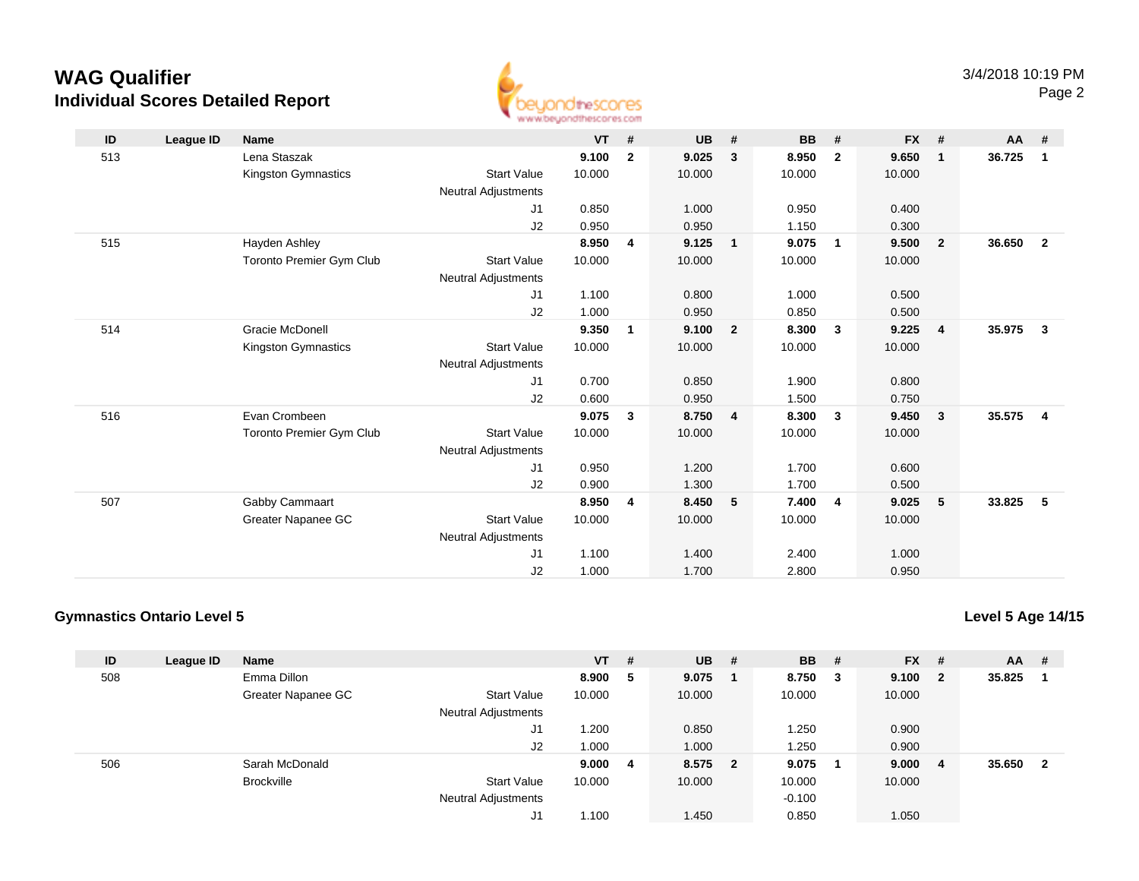# **WAG QualifierIndividual Scores Detailed Report**



| ID  | League ID | <b>Name</b>                     |                            | <b>VT</b> | #              | <b>UB</b> | #              | <b>BB</b> | #                       | $FX$ # |                         | AA     | #                       |
|-----|-----------|---------------------------------|----------------------------|-----------|----------------|-----------|----------------|-----------|-------------------------|--------|-------------------------|--------|-------------------------|
| 513 |           | Lena Staszak                    |                            | 9.100     | $\mathbf{2}$   | 9.025     | 3              | 8.950     | $\overline{2}$          | 9.650  | $\overline{\mathbf{1}}$ | 36.725 | $\overline{1}$          |
|     |           | Kingston Gymnastics             | <b>Start Value</b>         | 10.000    |                | 10.000    |                | 10.000    |                         | 10.000 |                         |        |                         |
|     |           |                                 | Neutral Adjustments        |           |                |           |                |           |                         |        |                         |        |                         |
|     |           |                                 | J1                         | 0.850     |                | 1.000     |                | 0.950     |                         | 0.400  |                         |        |                         |
|     |           |                                 | J2                         | 0.950     |                | 0.950     |                | 1.150     |                         | 0.300  |                         |        |                         |
| 515 |           | Hayden Ashley                   |                            | 8.950     | 4              | 9.125     | $\mathbf{1}$   | 9.075     | $\overline{1}$          | 9.500  | $\overline{\mathbf{2}}$ | 36.650 | $\overline{\mathbf{2}}$ |
|     |           | Toronto Premier Gym Club        | <b>Start Value</b>         | 10.000    |                | 10.000    |                | 10.000    |                         | 10.000 |                         |        |                         |
|     |           |                                 | <b>Neutral Adjustments</b> |           |                |           |                |           |                         |        |                         |        |                         |
|     |           |                                 | J1                         | 1.100     |                | 0.800     |                | 1.000     |                         | 0.500  |                         |        |                         |
|     |           |                                 | J2                         | 1.000     |                | 0.950     |                | 0.850     |                         | 0.500  |                         |        |                         |
| 514 |           | <b>Gracie McDonell</b>          |                            | 9.350     | $\mathbf{1}$   | 9.100     | $\overline{2}$ | 8.300     | $\overline{\mathbf{3}}$ | 9.225  | $\overline{4}$          | 35.975 | $\overline{\mathbf{3}}$ |
|     |           | Kingston Gymnastics             | <b>Start Value</b>         | 10.000    |                | 10.000    |                | 10.000    |                         | 10.000 |                         |        |                         |
|     |           |                                 | <b>Neutral Adjustments</b> |           |                |           |                |           |                         |        |                         |        |                         |
|     |           |                                 | J1                         | 0.700     |                | 0.850     |                | 1.900     |                         | 0.800  |                         |        |                         |
|     |           |                                 | J2                         | 0.600     |                | 0.950     |                | 1.500     |                         | 0.750  |                         |        |                         |
| 516 |           | Evan Crombeen                   |                            | 9.075     | $\mathbf{3}$   | 8.750     | $\overline{4}$ | 8.300     | $\overline{\mathbf{3}}$ | 9.450  | $\overline{\mathbf{3}}$ | 35.575 | $\overline{4}$          |
|     |           | <b>Toronto Premier Gym Club</b> | <b>Start Value</b>         | 10.000    |                | 10.000    |                | 10.000    |                         | 10.000 |                         |        |                         |
|     |           |                                 | <b>Neutral Adjustments</b> |           |                |           |                |           |                         |        |                         |        |                         |
|     |           |                                 | J1                         | 0.950     |                | 1.200     |                | 1.700     |                         | 0.600  |                         |        |                         |
|     |           |                                 | J2                         | 0.900     |                | 1.300     |                | 1.700     |                         | 0.500  |                         |        |                         |
| 507 |           | Gabby Cammaart                  |                            | 8.950     | $\overline{4}$ | 8.450     | $-5$           | 7.400     | $\overline{4}$          | 9.025  | 5                       | 33.825 | - 5                     |
|     |           | Greater Napanee GC              | <b>Start Value</b>         | 10.000    |                | 10.000    |                | 10.000    |                         | 10.000 |                         |        |                         |
|     |           |                                 | <b>Neutral Adjustments</b> |           |                |           |                |           |                         |        |                         |        |                         |
|     |           |                                 | J1                         | 1.100     |                | 1.400     |                | 2.400     |                         | 1.000  |                         |        |                         |
|     |           |                                 | J <sub>2</sub>             | 1.000     |                | 1.700     |                | 2.800     |                         | 0.950  |                         |        |                         |

### **Gymnastics Ontario Level 5**

**Level 5 Age 14/15**

| ID  | League ID | <b>Name</b>        |                            | $VT$ # |   | <b>UB</b> | # | <b>BB</b> | #      | <b>FX</b> | #                       | AA .   | #              |
|-----|-----------|--------------------|----------------------------|--------|---|-----------|---|-----------|--------|-----------|-------------------------|--------|----------------|
| 508 |           | Emma Dillon        |                            | 8.900  | 5 | 9.075     |   | 8.750     | $_{3}$ | 9.100     | $\overline{\mathbf{2}}$ | 35.825 |                |
|     |           | Greater Napanee GC | <b>Start Value</b>         | 10.000 |   | 10.000    |   | 10.000    |        | 10.000    |                         |        |                |
|     |           |                    | <b>Neutral Adjustments</b> |        |   |           |   |           |        |           |                         |        |                |
|     |           |                    | J1                         | 1.200  |   | 0.850     |   | 1.250     |        | 0.900     |                         |        |                |
|     |           |                    | J2                         | 1.000  |   | 1.000     |   | 1.250     |        | 0.900     |                         |        |                |
| 506 |           | Sarah McDonald     |                            | 9.0004 |   | 8.575 2   |   | 9.075     |        | 9.000     | -4                      | 35.650 | $\overline{2}$ |
|     |           | <b>Brockville</b>  | <b>Start Value</b>         | 10.000 |   | 10.000    |   | 10.000    |        | 10.000    |                         |        |                |
|     |           |                    | <b>Neutral Adjustments</b> |        |   |           |   | $-0.100$  |        |           |                         |        |                |
|     |           |                    | J1                         | 1.100  |   | 1.450     |   | 0.850     |        | 1.050     |                         |        |                |